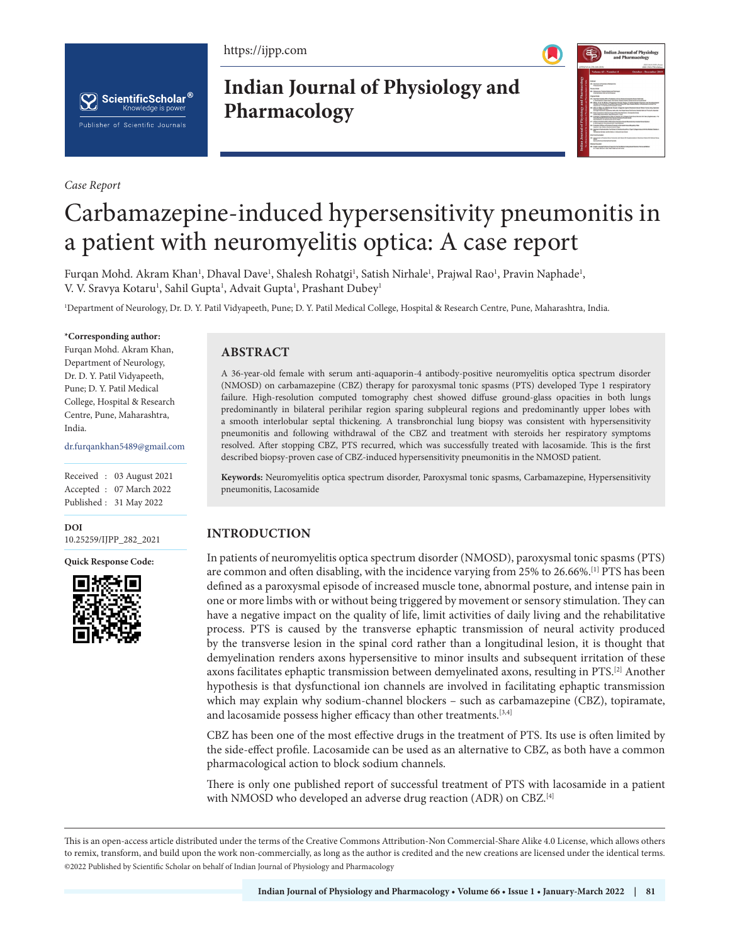https://ijpp.com





*Case Report*

**Indian Journal of Physiology and Pharmacology**



# Carbamazepine-induced hypersensitivity pneumonitis in a patient with neuromyelitis optica: A case report

Furqan Mohd. Akram Khan<sup>1</sup>, Dhaval Dave<sup>1</sup>, Shalesh Rohatgi<sup>1</sup>, Satish Nirhale<sup>1</sup>, Prajwal Rao<sup>1</sup>, Pravin Naphade<sup>1</sup>, V. V. Sravya Kotaru<sup>1</sup>, Sahil Gupta<sup>1</sup>, Advait Gupta<sup>1</sup>, Prashant Dubey<sup>1</sup>

1 Department of Neurology, Dr. D. Y. Patil Vidyapeeth, Pune; D. Y. Patil Medical College, Hospital & Research Centre, Pune, Maharashtra, India.

#### **\*Corresponding author:**

Furqan Mohd. Akram Khan, Department of Neurology, Dr. D. Y. Patil Vidyapeeth, Pune; D. Y. Patil Medical College, Hospital & Research Centre, Pune, Maharashtra, India.

dr.furqankhan5489@gmail.com

Received : 03 August 2021 Accepted : 07 March 2022 Published : 31 May 2022

**DOI**

[10.25259/IJPP\\_282\\_2021](https://dx.doi.org/10.25259/IJPP_282_2021)

**Quick Response Code:**



## **ABSTRACT**

A 36-year-old female with serum anti-aquaporin-4 antibody-positive neuromyelitis optica spectrum disorder (NMOSD) on carbamazepine (CBZ) therapy for paroxysmal tonic spasms (PTS) developed Type 1 respiratory failure. High-resolution computed tomography chest showed diffuse ground-glass opacities in both lungs predominantly in bilateral perihilar region sparing subpleural regions and predominantly upper lobes with a smooth interlobular septal thickening. A transbronchial lung biopsy was consistent with hypersensitivity pneumonitis and following withdrawal of the CBZ and treatment with steroids her respiratory symptoms resolved. After stopping CBZ, PTS recurred, which was successfully treated with lacosamide. This is the first described biopsy-proven case of CBZ-induced hypersensitivity pneumonitis in the NMOSD patient.

**Keywords:** Neuromyelitis optica spectrum disorder, Paroxysmal tonic spasms, Carbamazepine, Hypersensitivity pneumonitis, Lacosamide

## **INTRODUCTION**

In patients of neuromyelitis optica spectrum disorder (NMOSD), paroxysmal tonic spasms (PTS) are common and often disabling, with the incidence varying from 25% to 26.66%.<sup>[1]</sup> PTS has been defined as a paroxysmal episode of increased muscle tone, abnormal posture, and intense pain in one or more limbs with or without being triggered by movement or sensory stimulation. They can have a negative impact on the quality of life, limit activities of daily living and the rehabilitative process. PTS is caused by the transverse ephaptic transmission of neural activity produced by the transverse lesion in the spinal cord rather than a longitudinal lesion, it is thought that demyelination renders axons hypersensitive to minor insults and subsequent irritation of these axons facilitates ephaptic transmission between demyelinated axons, resulting in PTS.[2] Another hypothesis is that dysfunctional ion channels are involved in facilitating ephaptic transmission which may explain why sodium-channel blockers – such as carbamazepine (CBZ), topiramate, and lacosamide possess higher efficacy than other treatments.<sup>[3,4]</sup>

CBZ has been one of the most effective drugs in the treatment of PTS. Its use is often limited by the side-effect profile. Lacosamide can be used as an alternative to CBZ, as both have a common pharmacological action to block sodium channels.

There is only one published report of successful treatment of PTS with lacosamide in a patient with NMOSD who developed an adverse drug reaction (ADR) on CBZ.[4]

This is an open-access article distributed under the terms of the Creative Commons Attribution-Non Commercial-Share Alike 4.0 License, which allows others to remix, transform, and build upon the work non-commercially, as long as the author is credited and the new creations are licensed under the identical terms. ©2022 Published by Scientific Scholar on behalf of Indian Journal of Physiology and Pharmacology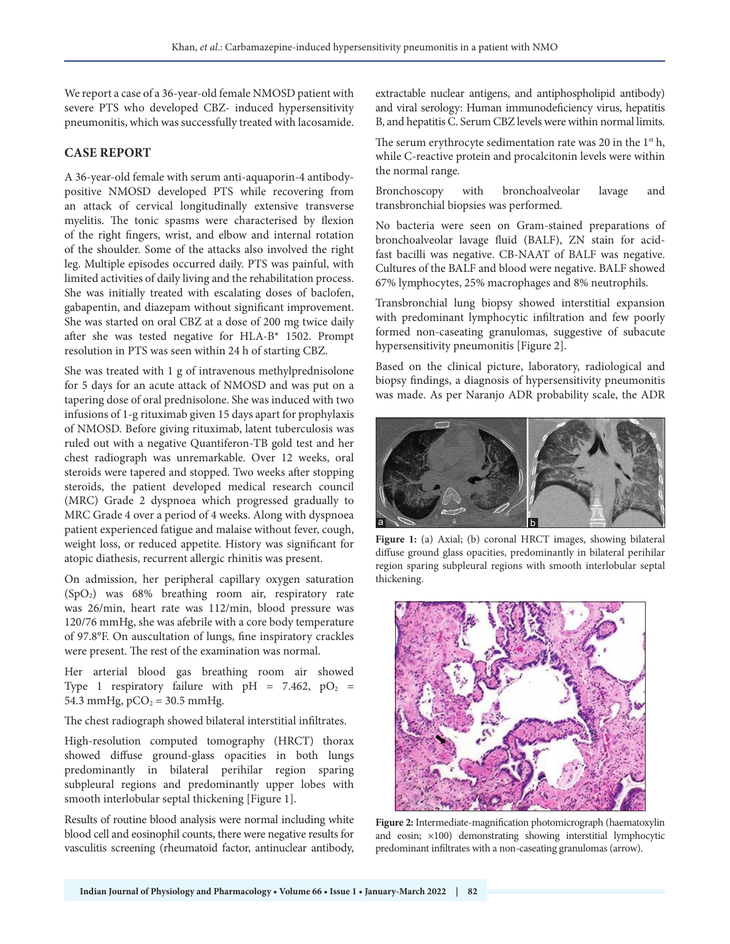We report a case of a 36-year-old female NMOSD patient with severe PTS who developed CBZ- induced hypersensitivity pneumonitis, which was successfully treated with lacosamide.

## **CASE REPORT**

A 36-year-old female with serum anti-aquaporin-4 antibodypositive NMOSD developed PTS while recovering from an attack of cervical longitudinally extensive transverse myelitis. The tonic spasms were characterised by flexion of the right fingers, wrist, and elbow and internal rotation of the shoulder. Some of the attacks also involved the right leg. Multiple episodes occurred daily. PTS was painful, with limited activities of daily living and the rehabilitation process. She was initially treated with escalating doses of baclofen, gabapentin, and diazepam without significant improvement. She was started on oral CBZ at a dose of 200 mg twice daily after she was tested negative for HLA-B\* 1502. Prompt resolution in PTS was seen within 24 h of starting CBZ.

She was treated with 1 g of intravenous methylprednisolone for 5 days for an acute attack of NMOSD and was put on a tapering dose of oral prednisolone. She was induced with two infusions of 1-g rituximab given 15 days apart for prophylaxis of NMOSD. Before giving rituximab, latent tuberculosis was ruled out with a negative Quantiferon-TB gold test and her chest radiograph was unremarkable. Over 12 weeks, oral steroids were tapered and stopped. Two weeks after stopping steroids, the patient developed medical research council (MRC) Grade 2 dyspnoea which progressed gradually to MRC Grade 4 over a period of 4 weeks. Along with dyspnoea patient experienced fatigue and malaise without fever, cough, weight loss, or reduced appetite. History was significant for atopic diathesis, recurrent allergic rhinitis was present.

On admission, her peripheral capillary oxygen saturation  $(SpO<sub>2</sub>)$  was 68% breathing room air, respiratory rate was 26/min, heart rate was 112/min, blood pressure was 120/76 mmHg, she was afebrile with a core body temperature of 97.8°F. On auscultation of lungs, fine inspiratory crackles were present. The rest of the examination was normal.

Her arterial blood gas breathing room air showed Type 1 respiratory failure with pH = 7.462,  $pO_2$  = 54.3 mmHg,  $pCO<sub>2</sub> = 30.5$  mmHg.

The chest radiograph showed bilateral interstitial infiltrates.

High-resolution computed tomography (HRCT) thorax showed diffuse ground-glass opacities in both lungs predominantly in bilateral perihilar region sparing subpleural regions and predominantly upper lobes with smooth interlobular septal thickening [Figure 1].

Results of routine blood analysis were normal including white blood cell and eosinophil counts, there were negative results for vasculitis screening (rheumatoid factor, antinuclear antibody, extractable nuclear antigens, and antiphospholipid antibody) and viral serology: Human immunodeficiency virus, hepatitis B, and hepatitis C. Serum CBZ levels were within normal limits.

The serum erythrocyte sedimentation rate was 20 in the  $1<sup>st</sup>$ h, while C-reactive protein and procalcitonin levels were within the normal range.

Bronchoscopy with bronchoalveolar lavage and transbronchial biopsies was performed.

No bacteria were seen on Gram-stained preparations of bronchoalveolar lavage fluid (BALF), ZN stain for acidfast bacilli was negative. CB-NAAT of BALF was negative. Cultures of the BALF and blood were negative. BALF showed 67% lymphocytes, 25% macrophages and 8% neutrophils.

Transbronchial lung biopsy showed interstitial expansion with predominant lymphocytic infiltration and few poorly formed non-caseating granulomas, suggestive of subacute hypersensitivity pneumonitis [Figure 2].

Based on the clinical picture, laboratory, radiological and biopsy findings, a diagnosis of hypersensitivity pneumonitis was made. As per Naranjo ADR probability scale, the ADR



**Figure 1:** (a) Axial; (b) coronal HRCT images, showing bilateral diffuse ground glass opacities, predominantly in bilateral perihilar region sparing subpleural regions with smooth interlobular septal thickening.



**Figure 2:** Intermediate-magnification photomicrograph (haematoxylin and eosin; ×100) demonstrating showing interstitial lymphocytic predominant infiltrates with a non-caseating granulomas (arrow).